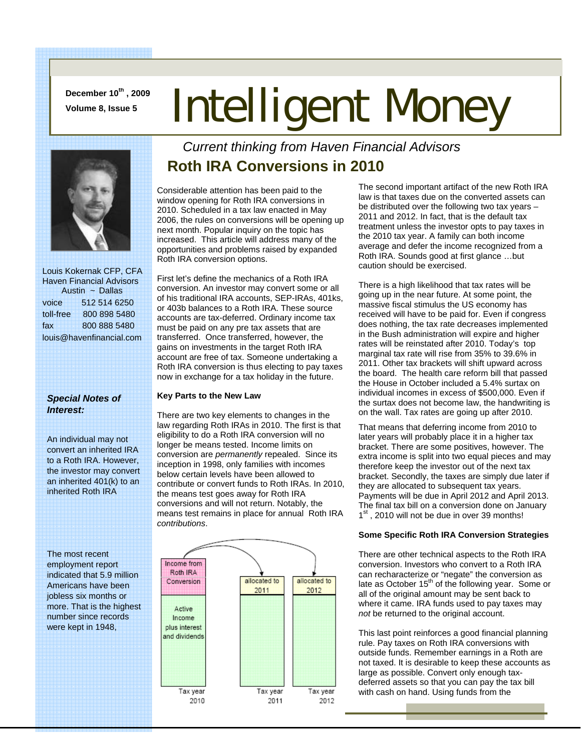**December 10th , 2009** 

# December 10", 2009 **Intelligent Money**



 Louis Kokernak CFP, CFA Haven Financial Advisors Austin ~ Dallas voice 512 514 6250 toll-free 800 898 5480 fax 800 888 5480 louis@havenfinancial.com

#### *Special Notes of Interest:*

An individual may not convert an inherited IRA to a Roth IRA. However, the investor may convert an inherited 401(k) to an inherited Roth IRA

The most recent employment report indicated that 5.9 million Americans have been jobless six months or more. That is the highest number since records were kept in 1948,

## *Current thinking from Haven Financial Advisors*  **Roth IRA Conversions in 2010**

Considerable attention has been paid to the window opening for Roth IRA conversions in 2010. Scheduled in a tax law enacted in May 2006, the rules on conversions will be opening up next month. Popular inquiry on the topic has increased. This article will address many of the opportunities and problems raised by expanded Roth IRA conversion options.

First let's define the mechanics of a Roth IRA conversion. An investor may convert some or all of his traditional IRA accounts, SEP-IRAs, 401ks, or 403b balances to a Roth IRA. These source accounts are tax-deferred. Ordinary income tax must be paid on any pre tax assets that are transferred. Once transferred, however, the gains on investments in the target Roth IRA account are free of tax. Someone undertaking a Roth IRA conversion is thus electing to pay taxes now in exchange for a tax holiday in the future.

#### **Key Parts to the New Law**

There are two key elements to changes in the law regarding Roth IRAs in 2010. The first is that eligibility to do a Roth IRA conversion will no longer be means tested. Income limits on conversion are *permanently* repealed. Since its inception in 1998, only families with incomes below certain levels have been allowed to contribute or convert funds to Roth IRAs. In 2010, the means test goes away for Roth IRA conversions and will not return. Notably, the means test remains in place for annual Roth IRA *contributions*.



The second important artifact of the new Roth IRA law is that taxes due on the converted assets can be distributed over the following two tax years – 2011 and 2012. In fact, that is the default tax treatment unless the investor opts to pay taxes in the 2010 tax year. A family can both income average and defer the income recognized from a Roth IRA. Sounds good at first glance …but caution should be exercised.

There is a high likelihood that tax rates will be going up in the near future. At some point, the massive fiscal stimulus the US economy has received will have to be paid for. Even if congress does nothing, the tax rate decreases implemented in the Bush administration will expire and higher rates will be reinstated after 2010. Today's top marginal tax rate will rise from 35% to 39.6% in 2011. Other tax brackets will shift upward across the board. The health care reform bill that passed the House in October included a 5.4% surtax on individual incomes in excess of \$500,000. Even if the surtax does not become law, the handwriting is on the wall. Tax rates are going up after 2010.

That means that deferring income from 2010 to later years will probably place it in a higher tax bracket. There are some positives, however. The extra income is split into two equal pieces and may therefore keep the investor out of the next tax bracket. Secondly, the taxes are simply due later if they are allocated to subsequent tax years. Payments will be due in April 2012 and April 2013. The final tax bill on a conversion done on January 1<sup>st</sup>, 2010 will not be due in over 39 months!

#### **Some Specific Roth IRA Conversion Strategies**

There are other technical aspects to the Roth IRA conversion. Investors who convert to a Roth IRA can recharacterize or "negate" the conversion as late as October 15<sup>th</sup> of the following year. Some or all of the original amount may be sent back to where it came. IRA funds used to pay taxes may *not* be returned to the original account.

This last point reinforces a good financial planning rule. Pay taxes on Roth IRA conversions with outside funds. Remember earnings in a Roth are not taxed. It is desirable to keep these accounts as large as possible. Convert only enough taxdeferred assets so that you can pay the tax bill with cash on hand. Using funds from the